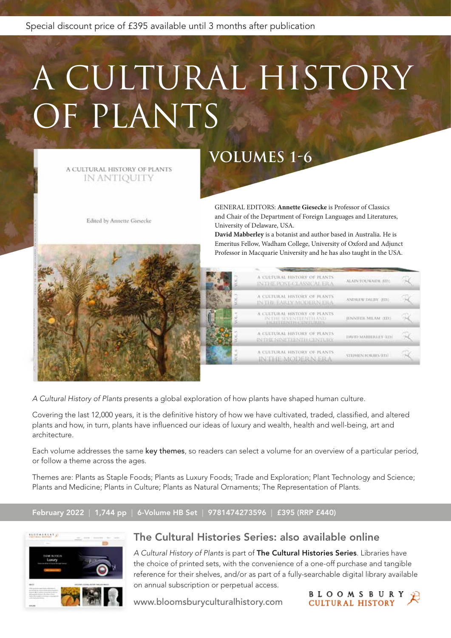Special discount price of £395 available until 3 months after publication

# A CULTURAL HISTORY OF PLANTS

A CULTURAL HISTORY OF PLANTS IN ANTIQUITY

Edited by Annette Giesecke

# **VOLUMES 1-6**

GENERAL EDITORS: **Annette Giesecke** is Professor of Classics and Chair of the Department of Foreign Languages and Literatures, University of Delaware, USA.

**David Mabberley** is a botanist and author based in Australia. He is Emeritus Fellow, Wadham College, University of Oxford and Adjunct Professor in Macquarie University and he has also taught in the USA.



| A CULTURAL HISTORY OF PLANTS.<br>INTHE POST-CLASSICAL ERA-       | ALAIN TOUWAIDE (ED.)         |  |
|------------------------------------------------------------------|------------------------------|--|
| A CULTURAL HISTORY OF PLANTS.<br>IN THE EARLY MODERN ERA         | ANDREW DALBY, (ED.)          |  |
| A CULTURAL HISTORY OF PLANTS<br>IN THE SEVENTIENTH AND           | <b>JENNIFER MILAM (ED.)</b>  |  |
| A CULTURAL HISTORY OF PLANTS.<br><b>INTHE NINETEEMTH CENTURY</b> | <b>IMVID MABRIERLEY (ED)</b> |  |
| A CULTURAL HISTORY OF PLANTS.<br><b>INTHE MODERN ERA</b>         | STEPHEN FORBES (ED.)         |  |
|                                                                  |                              |  |

*A Cultural History of Plants* presents a global exploration of how plants have shaped human culture.

Covering the last 12,000 years, it is the definitive history of how we have cultivated, traded, classified, and altered plants and how, in turn, plants have influenced our ideas of luxury and wealth, health and well-being, art and architecture.

Each volume addresses the same key themes, so readers can select a volume for an overview of a particular period, or follow a theme across the ages.

Themes are: Plants as Staple Foods; Plants as Luxury Foods; Trade and Exploration; Plant Technology and Science; Plants and Medicine; Plants in Culture; Plants as Natural Ornaments; The Representation of Plants.

#### February 2022 | 1,744 pp | 6-Volume HB Set | 9781474273596 | £395 (RRP £440)



### The Cultural Histories Series: also available online

*A Cultural History of Plants* is part of The Cultural Histories Series. Libraries have the choice of printed sets, with the convenience of a one-off purchase and tangible reference for their shelves, and/or as part of a fully-searchable digital library available on annual subscription or perpetual access.

www.bloomsburyculturalhistory.com

**BLOOMSBURY**<br>CULTURAL HISTORY